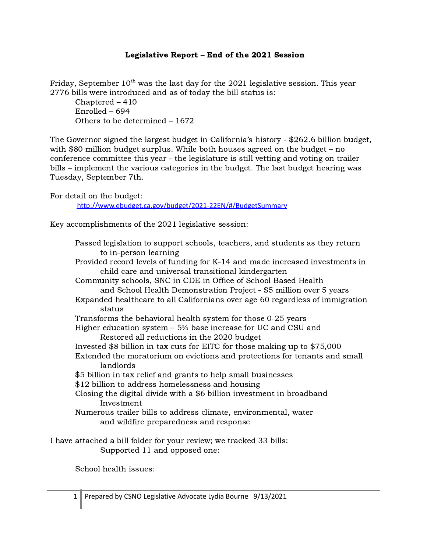## Legislative Report – End of the 2021 Session

Friday, September  $10^{\text{th}}$  was the last day for the 2021 legislative session. This year 2776 bills were introduced and as of today the bill status is:

Chaptered – 410 Enrolled – 694 Others to be determined – 1672

The Governor signed the largest budget in California's history - \$262.6 billion budget, with \$80 million budget surplus. While both houses agreed on the budget – no conference committee this year - the legislature is still vetting and voting on trailer bills – implement the various categories in the budget. The last budget hearing was Tuesday, September 7th.

For detail on the budget:

<http://www.ebudget.ca.gov/budget/2021-22EN/#/BudgetSummary>

Key accomplishments of the 2021 legislative session:

Passed legislation to support schools, teachers, and students as they return to in-person learning Provided record levels of funding for K-14 and made increased investments in child care and universal transitional kindergarten Community schools, SNC in CDE in Office of School Based Health and School Health Demonstration Project - \$5 million over 5 years Expanded healthcare to all Californians over age 60 regardless of immigration status Transforms the behavioral health system for those 0-25 years Higher education system – 5% base increase for UC and CSU and Restored all reductions in the 2020 budget Invested \$8 billion in tax cuts for EITC for those making up to \$75,000 Extended the moratorium on evictions and protections for tenants and small landlords \$5 billion in tax relief and grants to help small businesses \$12 billion to address homelessness and housing Closing the digital divide with a \$6 billion investment in broadband Investment Numerous trailer bills to address climate, environmental, water and wildfire preparedness and response I have attached a bill folder for your review; we tracked 33 bills:

Supported 11 and opposed one:

School health issues: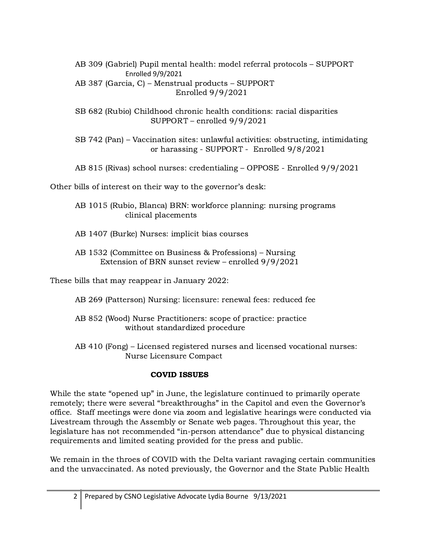AB 309 (Gabriel) Pupil mental health: model referral protocols – SUPPORT Enrolled 9/9/2021 AB 387 (Garcia, C) – Menstrual products – SUPPORT Enrolled 9/9/2021

SB 682 (Rubio) Childhood chronic health conditions: racial disparities SUPPORT – enrolled 9/9/2021

SB 742 (Pan) – Vaccination sites: unlawful activities: obstructing, intimidating or harassing - SUPPORT - Enrolled 9/8/2021

AB 815 (Rivas) school nurses: credentialing – OPPOSE - Enrolled 9/9/2021

Other bills of interest on their way to the governor's desk:

AB 1015 (Rubio, Blanca) BRN: workforce planning: nursing programs clinical placements

AB 1407 (Burke) Nurses: implicit bias courses

AB 1532 (Committee on Business & Professions) – Nursing Extension of BRN sunset review – enrolled 9/9/2021

These bills that may reappear in January 2022:

- AB 269 (Patterson) Nursing: licensure: renewal fees: reduced fee
- AB 852 (Wood) Nurse Practitioners: scope of practice: practice without standardized procedure
- AB 410 (Fong) Licensed registered nurses and licensed vocational nurses: Nurse Licensure Compact

## COVID ISSUES

While the state "opened up" in June, the legislature continued to primarily operate remotely; there were several "breakthroughs" in the Capitol and even the Governor's office. Staff meetings were done via zoom and legislative hearings were conducted via Livestream through the Assembly or Senate web pages. Throughout this year, the legislature has not recommended "in-person attendance" due to physical distancing requirements and limited seating provided for the press and public.

We remain in the throes of COVID with the Delta variant ravaging certain communities and the unvaccinated. As noted previously, the Governor and the State Public Health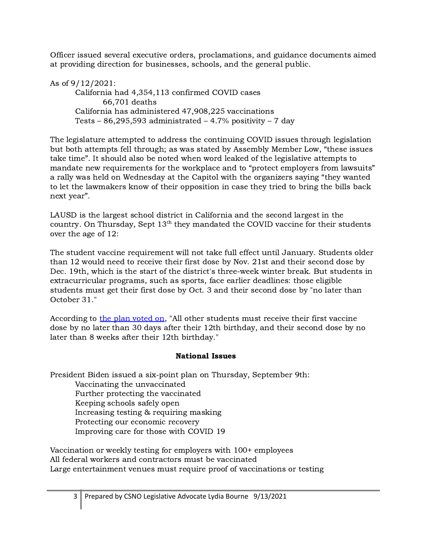Officer issued several executive orders, proclamations, and guidance documents aimed at providing direction for businesses, schools, and the general public.

As of 9/12/2021: California had 4,354,113 confirmed COVID cases 66,701 deaths California has administered 47,908,225 vaccinations Tests – 86,295,593 administrated – 4.7% positivity – 7 day

The legislature attempted to address the continuing COVID issues through legislation but both attempts fell through; as was stated by Assembly Member Low, "these issues take time". It should also be noted when word leaked of the legislative attempts to mandate new requirements for the workplace and to "protect employers from lawsuits" a rally was held on Wednesday at the Capitol with the organizers saying "they wanted to let the lawmakers know of their opposition in case they tried to bring the bills back next year".

LAUSD is the largest school district in California and the second largest in the country. On Thursday, Sept  $13<sup>th</sup>$  they mandated the COVID vaccine for their students over the age of 12:

The student vaccine requirement will not take full effect until January. Students older than 12 would need to receive their first dose by Nov. 21st and their second dose by Dec. 19th, which is the start of the district's three-week winter break. But students in extracurricular programs, such as sports, face earlier deadlines: those eligible students must get their first dose by Oct. 3 and their second dose by "no later than October 31."

According to the plan [voted](https://boe.lausd.net/sites/default/files/09-09-21SpclBdMaterials.pdf) on, "All other students must receive their first vaccine dose by no later than 30 days after their 12th birthday, and their second dose by no later than 8 weeks after their 12th birthday."

## National Issues

President Biden issued a six-point plan on Thursday, September 9th:

Vaccinating the unvaccinated Further protecting the vaccinated Keeping schools safely open Increasing testing & requiring masking Protecting our economic recovery Improving care for those with COVID 19

Vaccination or weekly testing for employers with 100+ employees All federal workers and contractors must be vaccinated Large entertainment venues must require proof of vaccinations or testing